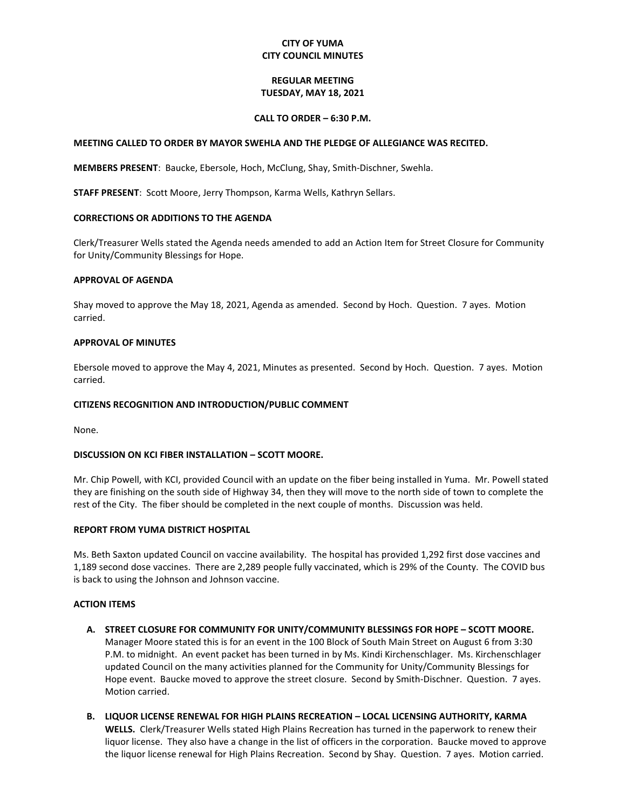# **CITY OF YUMA CITY COUNCIL MINUTES**

## **REGULAR MEETING TUESDAY, MAY 18, 2021**

### **CALL TO ORDER – 6:30 P.M.**

### **MEETING CALLED TO ORDER BY MAYOR SWEHLA AND THE PLEDGE OF ALLEGIANCE WAS RECITED.**

**MEMBERS PRESENT**: Baucke, Ebersole, Hoch, McClung, Shay, Smith-Dischner, Swehla.

**STAFF PRESENT**: Scott Moore, Jerry Thompson, Karma Wells, Kathryn Sellars.

### **CORRECTIONS OR ADDITIONS TO THE AGENDA**

Clerk/Treasurer Wells stated the Agenda needs amended to add an Action Item for Street Closure for Community for Unity/Community Blessings for Hope.

#### **APPROVAL OF AGENDA**

Shay moved to approve the May 18, 2021, Agenda as amended. Second by Hoch. Question. 7 ayes. Motion carried.

### **APPROVAL OF MINUTES**

Ebersole moved to approve the May 4, 2021, Minutes as presented. Second by Hoch. Question. 7 ayes. Motion carried.

### **CITIZENS RECOGNITION AND INTRODUCTION/PUBLIC COMMENT**

None.

## **DISCUSSION ON KCI FIBER INSTALLATION – SCOTT MOORE.**

Mr. Chip Powell, with KCI, provided Council with an update on the fiber being installed in Yuma. Mr. Powell stated they are finishing on the south side of Highway 34, then they will move to the north side of town to complete the rest of the City. The fiber should be completed in the next couple of months. Discussion was held.

### **REPORT FROM YUMA DISTRICT HOSPITAL**

Ms. Beth Saxton updated Council on vaccine availability. The hospital has provided 1,292 first dose vaccines and 1,189 second dose vaccines. There are 2,289 people fully vaccinated, which is 29% of the County. The COVID bus is back to using the Johnson and Johnson vaccine.

#### **ACTION ITEMS**

- **A. STREET CLOSURE FOR COMMUNITY FOR UNITY/COMMUNITY BLESSINGS FOR HOPE – SCOTT MOORE.**  Manager Moore stated this is for an event in the 100 Block of South Main Street on August 6 from 3:30 P.M. to midnight. An event packet has been turned in by Ms. Kindi Kirchenschlager. Ms. Kirchenschlager updated Council on the many activities planned for the Community for Unity/Community Blessings for Hope event. Baucke moved to approve the street closure. Second by Smith-Dischner. Question. 7 ayes. Motion carried.
- **B. LIQUOR LICENSE RENEWAL FOR HIGH PLAINS RECREATION – LOCAL LICENSING AUTHORITY, KARMA WELLS.** Clerk/Treasurer Wells stated High Plains Recreation has turned in the paperwork to renew their liquor license. They also have a change in the list of officers in the corporation. Baucke moved to approve the liquor license renewal for High Plains Recreation. Second by Shay. Question. 7 ayes. Motion carried.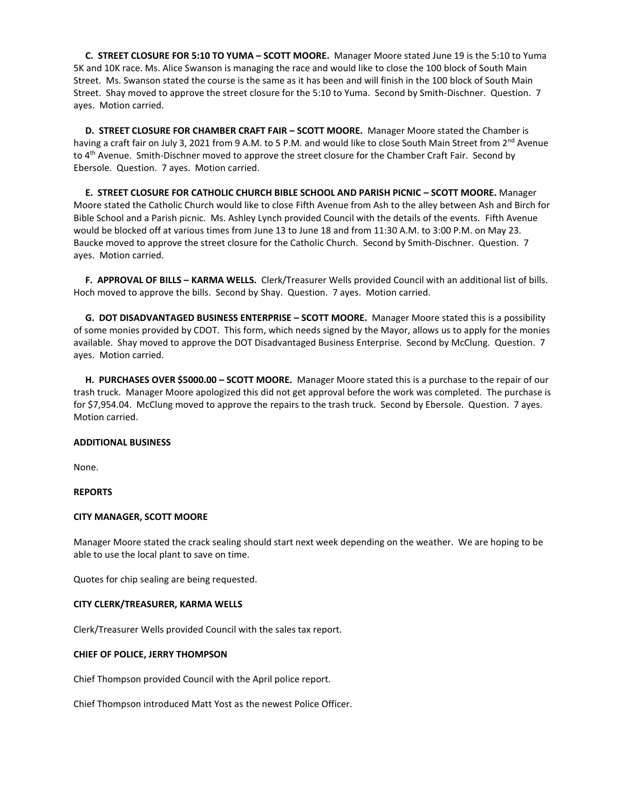**C. STREET CLOSURE FOR 5:10 TO YUMA – SCOTT MOORE.** Manager Moore stated June 19 is the 5:10 to Yuma 5K and 10K race. Ms. Alice Swanson is managing the race and would like to close the 100 block of South Main Street. Ms. Swanson stated the course is the same as it has been and will finish in the 100 block of South Main Street. Shay moved to approve the street closure for the 5:10 to Yuma. Second by Smith-Dischner. Question. 7 ayes. Motion carried.

 **D. STREET CLOSURE FOR CHAMBER CRAFT FAIR – SCOTT MOORE.** Manager Moore stated the Chamber is having a craft fair on July 3, 2021 from 9 A.M. to 5 P.M. and would like to close South Main Street from 2<sup>nd</sup> Avenue to 4<sup>th</sup> Avenue. Smith-Dischner moved to approve the street closure for the Chamber Craft Fair. Second by Ebersole. Question. 7 ayes. Motion carried.

 **E. STREET CLOSURE FOR CATHOLIC CHURCH BIBLE SCHOOL AND PARISH PICNIC – SCOTT MOORE.** Manager Moore stated the Catholic Church would like to close Fifth Avenue from Ash to the alley between Ash and Birch for Bible School and a Parish picnic. Ms. Ashley Lynch provided Council with the details of the events. Fifth Avenue would be blocked off at various times from June 13 to June 18 and from 11:30 A.M. to 3:00 P.M. on May 23. Baucke moved to approve the street closure for the Catholic Church. Second by Smith-Dischner. Question. 7 ayes. Motion carried.

 **F. APPROVAL OF BILLS – KARMA WELLS.** Clerk/Treasurer Wells provided Council with an additional list of bills. Hoch moved to approve the bills. Second by Shay. Question. 7 ayes. Motion carried.

 **G. DOT DISADVANTAGED BUSINESS ENTERPRISE – SCOTT MOORE.** Manager Moore stated this is a possibility of some monies provided by CDOT. This form, which needs signed by the Mayor, allows us to apply for the monies available. Shay moved to approve the DOT Disadvantaged Business Enterprise. Second by McClung. Question. 7 ayes. Motion carried.

 **H. PURCHASES OVER \$5000.00 – SCOTT MOORE.** Manager Moore stated this is a purchase to the repair of our trash truck. Manager Moore apologized this did not get approval before the work was completed. The purchase is for \$7,954.04. McClung moved to approve the repairs to the trash truck. Second by Ebersole. Question. 7 ayes. Motion carried.

### **ADDITIONAL BUSINESS**

None.

#### **REPORTS**

#### **CITY MANAGER, SCOTT MOORE**

Manager Moore stated the crack sealing should start next week depending on the weather. We are hoping to be able to use the local plant to save on time.

Quotes for chip sealing are being requested.

#### **CITY CLERK/TREASURER, KARMA WELLS**

Clerk/Treasurer Wells provided Council with the sales tax report.

### **CHIEF OF POLICE, JERRY THOMPSON**

Chief Thompson provided Council with the April police report.

Chief Thompson introduced Matt Yost as the newest Police Officer.